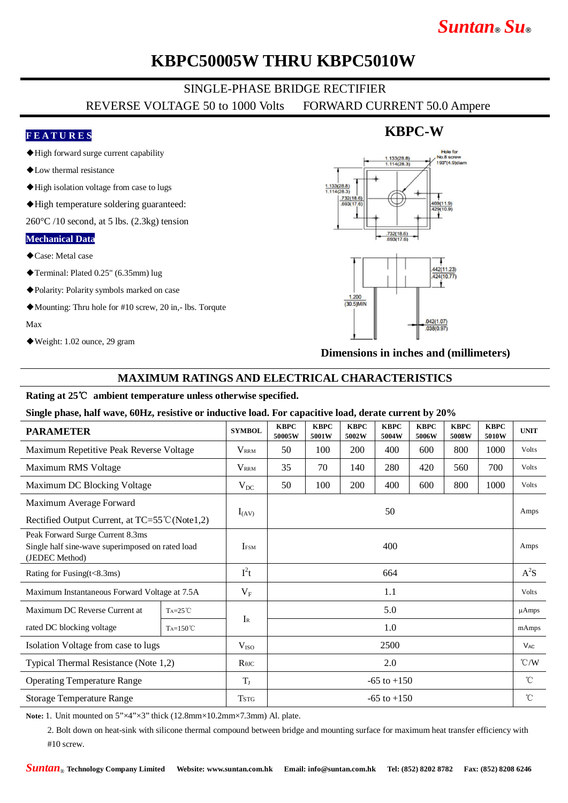# *Suntan***®** *Su***®**

# **KBPC50005W THRU KBPC5010W**

### SINGLE-PHASE BRIDGE RECTIFIER

REVERSE VOLTAGE 50 to 1000 Volts FORWARD CURRENT 50.0 Ampere

### **F E A T U R E S**

- ◆High forward surge current capability
- ◆Low thermal resistance
- ◆High isolation voltage from case to lugs
- ◆High temperature soldering guaranteed:

 $260^{\circ}$ C /10 second, at 5 lbs. (2.3kg) tension

#### **Mechanical Data**

- ◆Case: Metal case
- ◆Terminal: Plated 0.25" (6.35mm) lug
- ◆Polarity: Polarity symbols marked on case
- ◆Mounting: Thru hole for #10 screw, 20 in,- lbs. Torqute

Max

◆Weight: 1.02 ounce, 29 gram

# Hole for  $No.8 sc$  $.133(28.8)$ 193"(4 9)dian  $\frac{1.133(28.8)}{1.114(28.3)}$  $.200$  $(30.5)$ MIN  $.042(1.07)$  $.038(0.97)$

**KBPC-W**

**Dimensions in inches and (millimeters)**

#### **MAXIMUM RATINGS AND ELECTRICAL CHARACTERISTICS**

#### **Rating at 25**℃ **ambient temperature unless otherwise specified.**

#### **Single phase, half wave, 60Hz, resistive or inductive load. For capacitive load, derate current by 20%**

| <b>PARAMETER</b>                                                                                       |                   | <b>SYMBOL</b>    | <b>KBPC</b><br>50005W | <b>KBPC</b><br>5001W | <b>KBPC</b><br>5002W | <b>KBPC</b><br>5004W | <b>KBPC</b><br>5006W | <b>KBPC</b><br>5008W | <b>KBPC</b><br>5010W | <b>UNIT</b>     |
|--------------------------------------------------------------------------------------------------------|-------------------|------------------|-----------------------|----------------------|----------------------|----------------------|----------------------|----------------------|----------------------|-----------------|
| Maximum Repetitive Peak Reverse Voltage                                                                |                   | <b>VRRM</b>      | 50                    | 100                  | 200                  | 400                  | 600                  | 800                  | 1000                 | Volts           |
| Maximum RMS Voltage                                                                                    |                   | $V_{\rm RRM}$    | 35                    | 70                   | 140                  | 280                  | 420                  | 560                  | 700                  | Volts           |
| Maximum DC Blocking Voltage                                                                            |                   | $V_{DC}$         | 50                    | 100                  | 200                  | 400                  | 600                  | 800                  | 1000                 | Volts           |
| Maximum Average Forward                                                                                |                   | $I_{(AV)}$       | 50                    |                      |                      |                      |                      |                      |                      | Amps            |
| Rectified Output Current, at TC=55 <sup>°</sup> C (Note1,2)                                            |                   |                  |                       |                      |                      |                      |                      |                      |                      |                 |
| Peak Forward Surge Current 8.3ms<br>Single half sine-wave superimposed on rated load<br>(JEDEC Method) |                   | <b>IFSM</b>      | 400                   |                      |                      |                      |                      |                      |                      | Amps            |
| Rating for Fusing $(t<8.3ms)$                                                                          |                   | $I^2t$           | 664                   |                      |                      |                      |                      |                      |                      | $A^2S$          |
| Maximum Instantaneous Forward Voltage at 7.5A                                                          |                   | $V_{\rm F}$      | 1.1                   |                      |                      |                      |                      |                      |                      | Volts           |
| Maximum DC Reverse Current at                                                                          | $Ta=25^{\circ}C$  |                  | 5.0                   |                      |                      |                      |                      |                      |                      | $\mu$ Amps      |
| rated DC blocking voltage                                                                              | $Ta=150^{\circ}C$ | $I_{R}$          | 1.0                   |                      |                      |                      |                      |                      |                      | mAmps           |
| Isolation Voltage from case to lugs                                                                    |                   | V <sub>ISO</sub> | 2500                  |                      |                      |                      |                      |                      |                      | $V_{AC}$        |
| Typical Thermal Resistance (Note 1,2)                                                                  |                   | $R$ $\theta$ JC  | 2.0                   |                      |                      |                      |                      |                      |                      | $\mathcal{C}/W$ |
| <b>Operating Temperature Range</b>                                                                     |                   | $T_{J}$          | $-65$ to $+150$       |                      |                      |                      |                      |                      |                      | $^{\circ}$ C    |
| <b>Storage Temperature Range</b>                                                                       |                   | Tstg             | $-65$ to $+150$       |                      |                      |                      |                      |                      |                      | $^{\circ}$ C    |

Note: 1. Unit mounted on  $5'' \times 4'' \times 3''$  thick (12.8mm×10.2mm×7.3mm) Al. plate.

2. Bolt down on heat-sink with silicone thermal compound between bridge and mounting surface for maximum heat transfer efficiency with #10 screw.